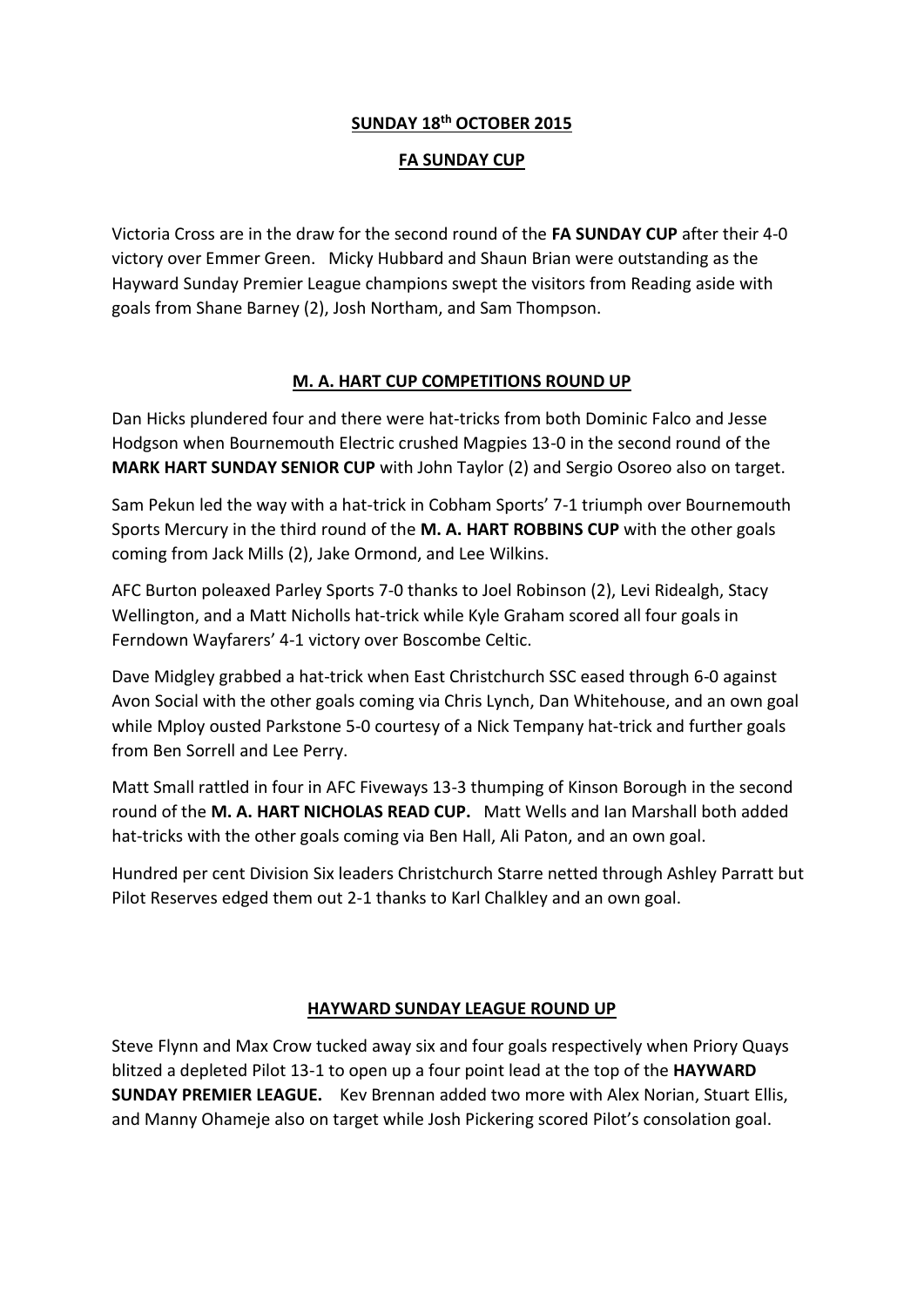## **SUNDAY 18th OCTOBER 2015**

## **FA SUNDAY CUP**

Victoria Cross are in the draw for the second round of the **FA SUNDAY CUP** after their 4-0 victory over Emmer Green. Micky Hubbard and Shaun Brian were outstanding as the Hayward Sunday Premier League champions swept the visitors from Reading aside with goals from Shane Barney (2), Josh Northam, and Sam Thompson.

## **M. A. HART CUP COMPETITIONS ROUND UP**

Dan Hicks plundered four and there were hat-tricks from both Dominic Falco and Jesse Hodgson when Bournemouth Electric crushed Magpies 13-0 in the second round of the **MARK HART SUNDAY SENIOR CUP** with John Taylor (2) and Sergio Osoreo also on target.

Sam Pekun led the way with a hat-trick in Cobham Sports' 7-1 triumph over Bournemouth Sports Mercury in the third round of the **M. A. HART ROBBINS CUP** with the other goals coming from Jack Mills (2), Jake Ormond, and Lee Wilkins.

AFC Burton poleaxed Parley Sports 7-0 thanks to Joel Robinson (2), Levi Ridealgh, Stacy Wellington, and a Matt Nicholls hat-trick while Kyle Graham scored all four goals in Ferndown Wayfarers' 4-1 victory over Boscombe Celtic.

Dave Midgley grabbed a hat-trick when East Christchurch SSC eased through 6-0 against Avon Social with the other goals coming via Chris Lynch, Dan Whitehouse, and an own goal while Mploy ousted Parkstone 5-0 courtesy of a Nick Tempany hat-trick and further goals from Ben Sorrell and Lee Perry.

Matt Small rattled in four in AFC Fiveways 13-3 thumping of Kinson Borough in the second round of the **M. A. HART NICHOLAS READ CUP.** Matt Wells and Ian Marshall both added hat-tricks with the other goals coming via Ben Hall, Ali Paton, and an own goal.

Hundred per cent Division Six leaders Christchurch Starre netted through Ashley Parratt but Pilot Reserves edged them out 2-1 thanks to Karl Chalkley and an own goal.

## **HAYWARD SUNDAY LEAGUE ROUND UP**

Steve Flynn and Max Crow tucked away six and four goals respectively when Priory Quays blitzed a depleted Pilot 13-1 to open up a four point lead at the top of the **HAYWARD SUNDAY PREMIER LEAGUE.** Kev Brennan added two more with Alex Norian, Stuart Ellis, and Manny Ohameje also on target while Josh Pickering scored Pilot's consolation goal.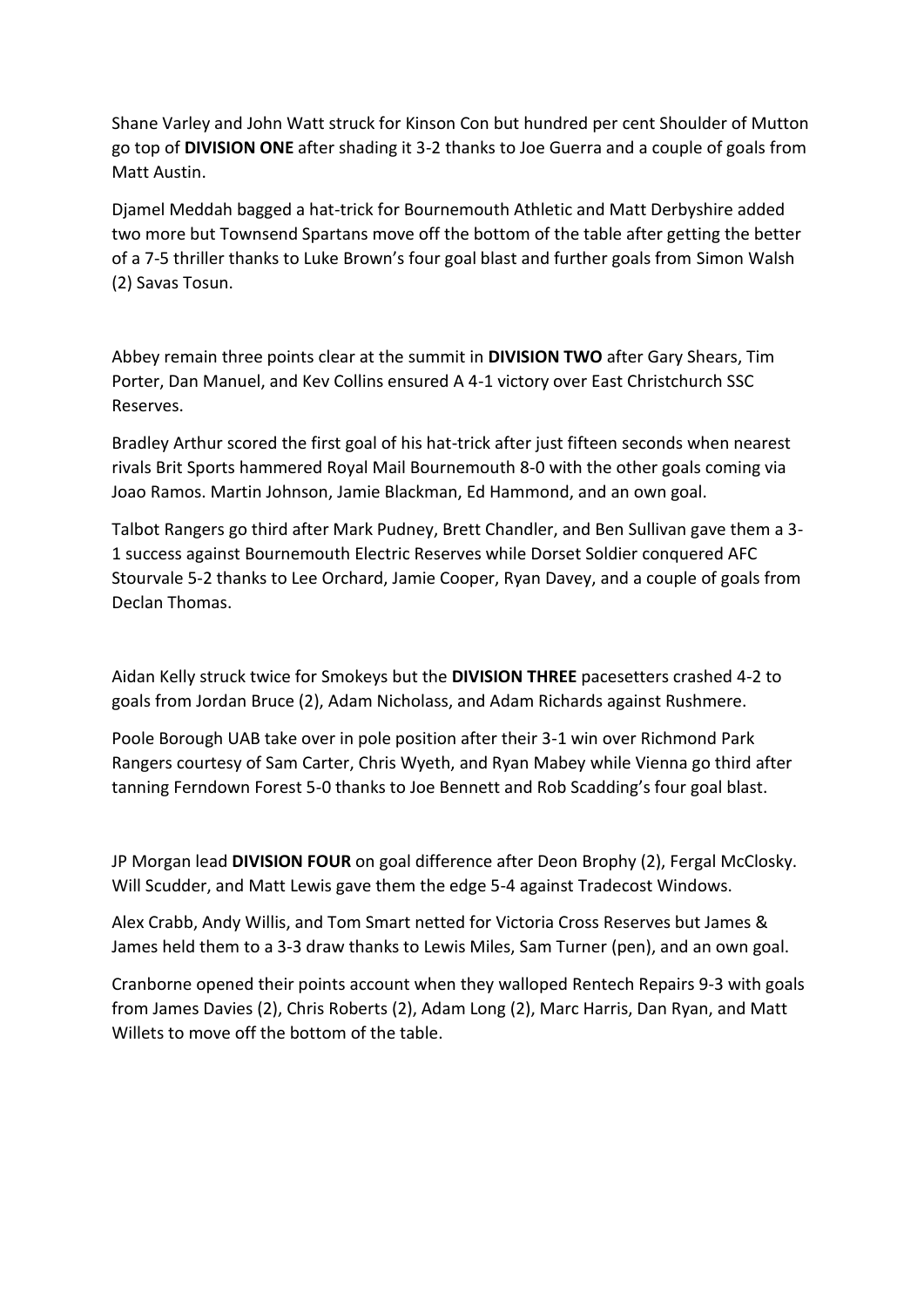Shane Varley and John Watt struck for Kinson Con but hundred per cent Shoulder of Mutton go top of **DIVISION ONE** after shading it 3-2 thanks to Joe Guerra and a couple of goals from Matt Austin.

Djamel Meddah bagged a hat-trick for Bournemouth Athletic and Matt Derbyshire added two more but Townsend Spartans move off the bottom of the table after getting the better of a 7-5 thriller thanks to Luke Brown's four goal blast and further goals from Simon Walsh (2) Savas Tosun.

Abbey remain three points clear at the summit in **DIVISION TWO** after Gary Shears, Tim Porter, Dan Manuel, and Kev Collins ensured A 4-1 victory over East Christchurch SSC Reserves.

Bradley Arthur scored the first goal of his hat-trick after just fifteen seconds when nearest rivals Brit Sports hammered Royal Mail Bournemouth 8-0 with the other goals coming via Joao Ramos. Martin Johnson, Jamie Blackman, Ed Hammond, and an own goal.

Talbot Rangers go third after Mark Pudney, Brett Chandler, and Ben Sullivan gave them a 3- 1 success against Bournemouth Electric Reserves while Dorset Soldier conquered AFC Stourvale 5-2 thanks to Lee Orchard, Jamie Cooper, Ryan Davey, and a couple of goals from Declan Thomas.

Aidan Kelly struck twice for Smokeys but the **DIVISION THREE** pacesetters crashed 4-2 to goals from Jordan Bruce (2), Adam Nicholass, and Adam Richards against Rushmere.

Poole Borough UAB take over in pole position after their 3-1 win over Richmond Park Rangers courtesy of Sam Carter, Chris Wyeth, and Ryan Mabey while Vienna go third after tanning Ferndown Forest 5-0 thanks to Joe Bennett and Rob Scadding's four goal blast.

JP Morgan lead **DIVISION FOUR** on goal difference after Deon Brophy (2), Fergal McClosky. Will Scudder, and Matt Lewis gave them the edge 5-4 against Tradecost Windows.

Alex Crabb, Andy Willis, and Tom Smart netted for Victoria Cross Reserves but James & James held them to a 3-3 draw thanks to Lewis Miles, Sam Turner (pen), and an own goal.

Cranborne opened their points account when they walloped Rentech Repairs 9-3 with goals from James Davies (2), Chris Roberts (2), Adam Long (2), Marc Harris, Dan Ryan, and Matt Willets to move off the bottom of the table.